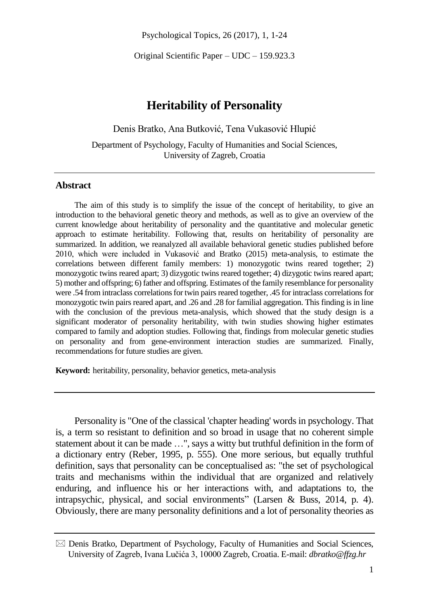Psychological Topics, 26 (2017), 1, 1-24

Original Scientific Paper – UDC – 159.923.3

# **Heritability of Personality**

Denis Bratko, Ana Butković, Tena Vukasović Hlupić

Department of Psychology, Faculty of Humanities and Social Sciences, University of Zagreb, Croatia

### **Abstract**

The aim of this study is to simplify the issue of the concept of heritability, to give an introduction to the behavioral genetic theory and methods, as well as to give an overview of the current knowledge about heritability of personality and the quantitative and molecular genetic approach to estimate heritability. Following that, results on heritability of personality are summarized. In addition, we reanalyzed all available behavioral genetic studies published before 2010, which were included in Vukasović and Bratko (2015) meta-analysis, to estimate the correlations between different family members: 1) monozygotic twins reared together; 2) monozygotic twins reared apart; 3) dizygotic twins reared together; 4) dizygotic twins reared apart; 5) mother and offspring; 6) father and offspring. Estimates of the family resemblance for personality were .54 from intraclass correlations for twin pairs reared together, .45 for intraclass correlations for monozygotic twin pairs reared apart, and .26 and .28 for familial aggregation. This finding is in line with the conclusion of the previous meta-analysis, which showed that the study design is a significant moderator of personality heritability, with twin studies showing higher estimates compared to family and adoption studies. Following that, findings from molecular genetic studies on personality and from gene-environment interaction studies are summarized. Finally, recommendations for future studies are given.

**Keyword:** heritability, personality, behavior genetics, meta-analysis

Personality is "One of the classical 'chapter heading' words in psychology. That is, a term so resistant to definition and so broad in usage that no coherent simple statement about it can be made …", says a witty but truthful definition in the form of a dictionary entry (Reber, 1995, p. 555). One more serious, but equally truthful definition, says that personality can be conceptualised as: "the set of psychological traits and mechanisms within the individual that are organized and relatively enduring, and influence his or her interactions with, and adaptations to, the intrapsychic, physical, and social environments" (Larsen & Buss, 2014, p. 4). Obviously, there are many personality definitions and a lot of personality theories as

 $\boxtimes$  Denis Bratko, Department of Psychology, Faculty of Humanities and Social Sciences, University of Zagreb, Ivana Lučića 3, 10000 Zagreb, Croatia. E-mail: *dbratko@ffzg.hr*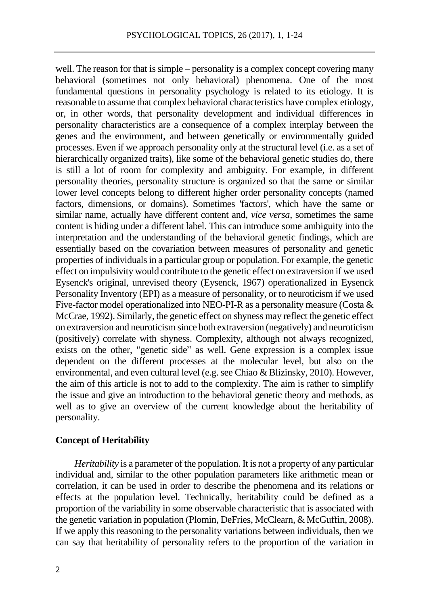well. The reason for that is simple – personality is a complex concept covering many behavioral (sometimes not only behavioral) phenomena. One of the most fundamental questions in personality psychology is related to its etiology. It is reasonable to assume that complex behavioral characteristics have complex etiology, or, in other words, that personality development and individual differences in personality characteristics are a consequence of a complex interplay between the genes and the environment, and between genetically or environmentally guided processes. Even if we approach personality only at the structural level (i.e. as a set of hierarchically organized traits), like some of the behavioral genetic studies do, there is still a lot of room for complexity and ambiguity. For example, in different personality theories, personality structure is organized so that the same or similar lower level concepts belong to different higher order personality concepts (named factors, dimensions, or domains). Sometimes 'factors', which have the same or similar name, actually have different content and, *vice versa*, sometimes the same content is hiding under a different label. This can introduce some ambiguity into the interpretation and the understanding of the behavioral genetic findings, which are essentially based on the covariation between measures of personality and genetic properties of individuals in a particular group or population. For example, the genetic effect on impulsivity would contribute to the genetic effect on extraversion if we used Eysenck's original, unrevised theory (Eysenck, 1967) operationalized in Eysenck Personality Inventory (EPI) as a measure of personality, or to neuroticism if we used Five-factor model operationalized into NEO-PI-R as a personality measure (Costa & McCrae, 1992). Similarly, the genetic effect on shyness may reflect the genetic effect on extraversion and neuroticism since both extraversion (negatively) and neuroticism (positively) correlate with shyness. Complexity, although not always recognized, exists on the other, "genetic side" as well. Gene expression is a complex issue dependent on the different processes at the molecular level, but also on the environmental, and even cultural level (e.g. see Chiao & Blizinsky, 2010). However, the aim of this article is not to add to the complexity. The aim is rather to simplify the issue and give an introduction to the behavioral genetic theory and methods, as well as to give an overview of the current knowledge about the heritability of personality.

### **Concept of Heritability**

*Heritability* is a parameter of the population. It is not a property of any particular individual and, similar to the other population parameters like arithmetic mean or correlation, it can be used in order to describe the phenomena and its relations or effects at the population level. Technically, heritability could be defined as a proportion of the variability in some observable characteristic that is associated with the genetic variation in population (Plomin, DeFries, McClearn, & McGuffin, 2008). If we apply this reasoning to the personality variations between individuals, then we can say that heritability of personality refers to the proportion of the variation in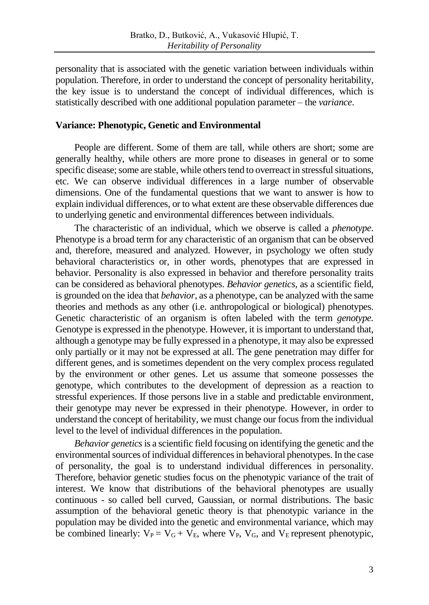personality that is associated with the genetic variation between individuals within population. Therefore, in order to understand the concept of personality heritability, the key issue is to understand the concept of individual differences, which is statistically described with one additional population parameter – the *variance*.

### **Variance: Phenotypic, Genetic and Environmental**

People are different. Some of them are tall, while others are short; some are generally healthy, while others are more prone to diseases in general or to some specific disease; some are stable, while others tend to overreact in stressful situations, etc. We can observe individual differences in a large number of observable dimensions. One of the fundamental questions that we want to answer is how to explain individual differences, or to what extent are these observable differences due to underlying genetic and environmental differences between individuals.

The characteristic of an individual, which we observe is called a *phenotype*. Phenotype is a broad term for any characteristic of an organism that can be observed and, therefore, measured and analyzed. However, in psychology we often study behavioral characteristics or, in other words, phenotypes that are expressed in behavior. Personality is also expressed in behavior and therefore personality traits can be considered as behavioral phenotypes. *Behavior genetics,* as a scientific field, is grounded on the idea that *behavior*, as a phenotype, can be analyzed with the same theories and methods as any other (i.e. anthropological or biological) phenotypes. Genetic characteristic of an organism is often labeled with the term *genotype.* Genotype is expressed in the phenotype. However, it is important to understand that, although a genotype may be fully expressed in a phenotype, it may also be expressed only partially or it may not be expressed at all. The gene penetration may differ for different genes, and is sometimes dependent on the very complex process regulated by the environment or other genes. Let us assume that someone possesses the genotype, which contributes to the development of depression as a reaction to stressful experiences. If those persons live in a stable and predictable environment, their genotype may never be expressed in their phenotype. However, in order to understand the concept of heritability, we must change our focus from the individual level to the level of individual differences in the population.

*Behavior genetics*is a scientific field focusing on identifying the genetic and the environmental sources of individual differences in behavioral phenotypes. In the case of personality, the goal is to understand individual differences in personality. Therefore, behavior genetic studies focus on the phenotypic variance of the trait of interest. We know that distributions of the behavioral phenotypes are usually continuous - so called bell curved, Gaussian, or normal distributions. The basic assumption of the behavioral genetic theory is that phenotypic variance in the population may be divided into the genetic and environmental variance, which may be combined linearly:  $V_P = V_G + V_E$ , where  $V_P$ ,  $V_G$ , and  $V_E$  represent phenotypic,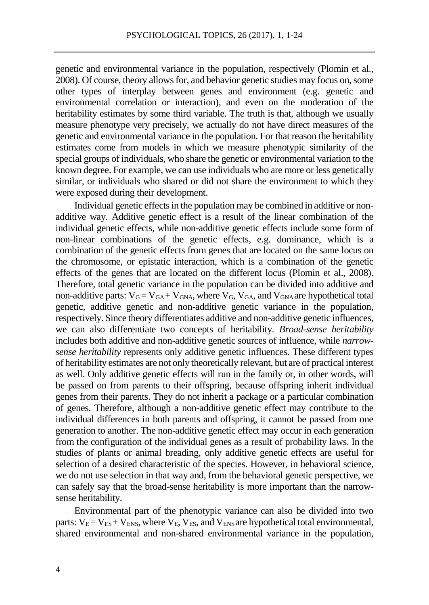genetic and environmental variance in the population, respectively (Plomin et al., 2008). Of course, theory allowsfor, and behavior genetic studies may focus on,some other types of interplay between genes and environment (e.g. genetic and environmental correlation or interaction), and even on the moderation of the heritability estimates by some third variable. The truth is that, although we usually measure phenotype very precisely, we actually do not have direct measures of the genetic and environmental variance in the population. For that reason the heritability estimates come from models in which we measure phenotypic similarity of the special groups of individuals, who share the genetic or environmental variation to the known degree. For example, we can use individuals who are more or less genetically similar, or individuals who shared or did not share the environment to which they were exposed during their development.

Individual genetic effects in the population may be combined in additive or nonadditive way. Additive genetic effect is a result of the linear combination of the individual genetic effects, while non-additive genetic effects include some form of non-linear combinations of the genetic effects, e.g. dominance, which is a combination of the genetic effects from genes that are located on the same locus on the chromosome, or epistatic interaction, which is a combination of the genetic effects of the genes that are located on the different locus (Plomin et al., 2008). Therefore, total genetic variance in the population can be divided into additive and non-additive parts:  $V_G = V_{GA} + V_{GNA}$ , where  $V_G$ ,  $V_{GA}$ , and  $V_{GNA}$  are hypothetical total genetic, additive genetic and non-additive genetic variance in the population, respectively. Since theory differentiates additive and non-additive genetic influences, we can also differentiate two concepts of heritability. *Broad-sense heritability* includes both additive and non-additive genetic sources of influence, while *narrowsense heritability* represents only additive genetic influences. These different types of heritability estimates are not only theoretically relevant, but are of practical interest as well. Only additive genetic effects will run in the family or, in other words, will be passed on from parents to their offspring, because offspring inherit individual genes from their parents. They do not inherit a package or a particular combination of genes. Therefore, although a non-additive genetic effect may contribute to the individual differences in both parents and offspring, it cannot be passed from one generation to another. The non-additive genetic effect may occur in each generation from the configuration of the individual genes as a result of probability laws. In the studies of plants or animal breading, only additive genetic effects are useful for selection of a desired characteristic of the species. However, in behavioral science, we do not use selection in that way and, from the behavioral genetic perspective, we can safely say that the broad-sense heritability is more important than the narrowsense heritability.

Environmental part of the phenotypic variance can also be divided into two parts:  $V_E = V_{ES} + V_{ENS}$ , where  $V_E$ ,  $V_{ES}$ , and  $V_{ENS}$  are hypothetical total environmental, shared environmental and non-shared environmental variance in the population,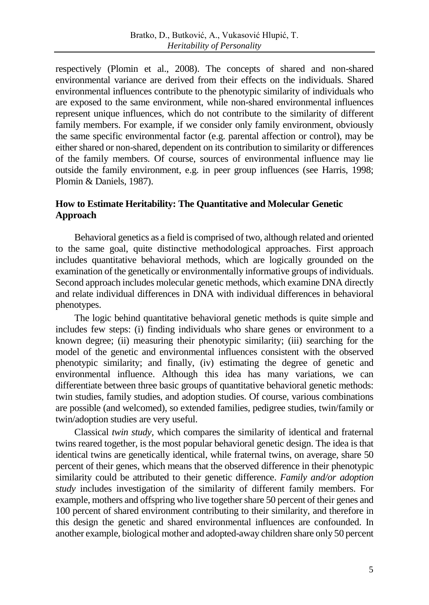respectively (Plomin et al., 2008). The concepts of shared and non-shared environmental variance are derived from their effects on the individuals. Shared environmental influences contribute to the phenotypic similarity of individuals who are exposed to the same environment, while non-shared environmental influences represent unique influences, which do not contribute to the similarity of different family members. For example, if we consider only family environment, obviously the same specific environmental factor (e.g. parental affection or control), may be either shared or non-shared, dependent on its contribution to similarity or differences of the family members. Of course, sources of environmental influence may lie outside the family environment, e.g. in peer group influences (see Harris, 1998; Plomin & Daniels, 1987).

### **How to Estimate Heritability: The Quantitative and Molecular Genetic Approach**

Behavioral genetics as a field is comprised of two, although related and oriented to the same goal, quite distinctive methodological approaches. First approach includes quantitative behavioral methods, which are logically grounded on the examination of the genetically or environmentally informative groups of individuals. Second approach includes molecular genetic methods, which examine DNA directly and relate individual differences in DNA with individual differences in behavioral phenotypes.

The logic behind quantitative behavioral genetic methods is quite simple and includes few steps: (i) finding individuals who share genes or environment to a known degree; (ii) measuring their phenotypic similarity; (iii) searching for the model of the genetic and environmental influences consistent with the observed phenotypic similarity; and finally, (iv) estimating the degree of genetic and environmental influence. Although this idea has many variations, we can differentiate between three basic groups of quantitative behavioral genetic methods: twin studies, family studies, and adoption studies. Of course, various combinations are possible (and welcomed), so extended families, pedigree studies, twin/family or twin/adoption studies are very useful.

Classical *twin study,* which compares the similarity of identical and fraternal twins reared together, is the most popular behavioral genetic design. The idea is that identical twins are genetically identical, while fraternal twins, on average, share 50 percent of their genes, which means that the observed difference in their phenotypic similarity could be attributed to their genetic difference. *Family and/or adoption study* includes investigation of the similarity of different family members. For example, mothers and offspring who live together share 50 percent of their genes and 100 percent of shared environment contributing to their similarity, and therefore in this design the genetic and shared environmental influences are confounded. In another example, biological mother and adopted-away children share only 50 percent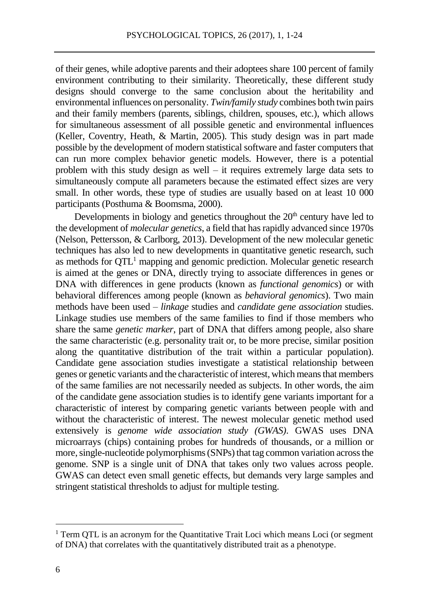of their genes, while adoptive parents and their adoptees share 100 percent of family environment contributing to their similarity. Theoretically, these different study designs should converge to the same conclusion about the heritability and environmental influences on personality. *Twin/family study* combines both twin pairs and their family members (parents, siblings, children, spouses, etc.), which allows for simultaneous assessment of all possible genetic and environmental influences (Keller, Coventry, Heath, & Martin, 2005). This study design was in part made possible by the development of modern statistical software and faster computers that can run more complex behavior genetic models. However, there is a potential problem with this study design as well – it requires extremely large data sets to simultaneously compute all parameters because the estimated effect sizes are very small. In other words, these type of studies are usually based on at least 10 000 participants (Posthuma & Boomsma, 2000).

Developments in biology and genetics throughout the  $20<sup>th</sup>$  century have led to the development of *molecular genetics*, a field that has rapidly advanced since 1970s (Nelson, Pettersson, & Carlborg, 2013). Development of the new molecular genetic techniques has also led to new developments in quantitative genetic research, such as methods for QTL<sup>1</sup> mapping and genomic prediction. Molecular genetic research is aimed at the genes or DNA, directly trying to associate differences in genes or DNA with differences in gene products (known as *functional genomics*) or with behavioral differences among people (known as *behavioral genomics*). Two main methods have been used – *linkage* studies and *candidate gene association* studies. Linkage studies use members of the same families to find if those members who share the same *genetic marker*, part of DNA that differs among people, also share the same characteristic (e.g. personality trait or, to be more precise, similar position along the quantitative distribution of the trait within a particular population). Candidate gene association studies investigate a statistical relationship between genes or genetic variants and the characteristic of interest, which means that members of the same families are not necessarily needed as subjects. In other words, the aim of the candidate gene association studies is to identify gene variants important for a characteristic of interest by comparing genetic variants between people with and without the characteristic of interest. The newest molecular genetic method used extensively is *genome wide association study (GWAS)*. GWAS uses DNA microarrays (chips) containing probes for hundreds of thousands, or a million or more,single-nucleotide polymorphisms (SNPs) that tag common variation across the genome. SNP is a single unit of DNA that takes only two values across people. GWAS can detect even small genetic effects, but demands very large samples and stringent statistical thresholds to adjust for multiple testing.

 $\overline{a}$ 

 $1$ <sup>1</sup> Term QTL is an acronym for the Quantitative Trait Loci which means Loci (or segment of DNA) that correlates with the quantitatively distributed trait as a phenotype.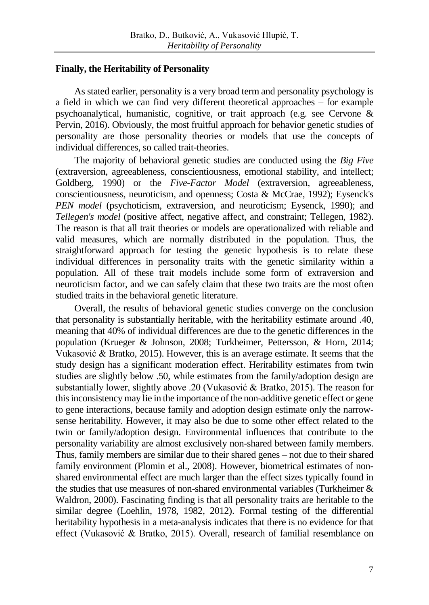### **Finally, the Heritability of Personality**

As stated earlier, personality is a very broad term and personality psychology is a field in which we can find very different theoretical approaches – for example psychoanalytical, humanistic, cognitive, or trait approach (e.g. see Cervone & Pervin, 2016). Obviously, the most fruitful approach for behavior genetic studies of personality are those personality theories or models that use the concepts of individual differences, so called trait-theories.

The majority of behavioral genetic studies are conducted using the *Big Five*  (extraversion, agreeableness, conscientiousness, emotional stability, and intellect; Goldberg, 1990) or the *Five-Factor Model* (extraversion, agreeableness, conscientiousness, neuroticism, and openness; Costa & McCrae, 1992); Eysenck's *PEN model* (psychoticism, extraversion, and neuroticism; Eysenck, 1990); and *Tellegen's model* (positive affect, negative affect, and constraint; Tellegen, 1982). The reason is that all trait theories or models are operationalized with reliable and valid measures, which are normally distributed in the population. Thus, the straightforward approach for testing the genetic hypothesis is to relate these individual differences in personality traits with the genetic similarity within a population. All of these trait models include some form of extraversion and neuroticism factor, and we can safely claim that these two traits are the most often studied traits in the behavioral genetic literature.

Overall, the results of behavioral genetic studies converge on the conclusion that personality is substantially heritable, with the heritability estimate around .40, meaning that 40% of individual differences are due to the genetic differences in the population (Krueger & Johnson, 2008; Turkheimer, Pettersson, & Horn, 2014; Vukasović & Bratko, 2015). However, this is an average estimate. It seems that the study design has a significant moderation effect. Heritability estimates from twin studies are slightly below .50, while estimates from the family/adoption design are substantially lower, slightly above .20 (Vukasović & Bratko, 2015). The reason for this inconsistency may lie in the importance of the non-additive genetic effect or gene to gene interactions, because family and adoption design estimate only the narrowsense heritability. However, it may also be due to some other effect related to the twin or family/adoption design. Environmental influences that contribute to the personality variability are almost exclusively non-shared between family members. Thus, family members are similar due to their shared genes – not due to their shared family environment (Plomin et al., 2008). However, biometrical estimates of nonshared environmental effect are much larger than the effect sizes typically found in the studies that use measures of non-shared environmental variables (Turkheimer & Waldron, 2000). Fascinating finding is that all personality traits are heritable to the similar degree (Loehlin, 1978, 1982, 2012). Formal testing of the differential heritability hypothesis in a meta-analysis indicates that there is no evidence for that effect (Vukasović & Bratko, 2015). Overall, research of familial resemblance on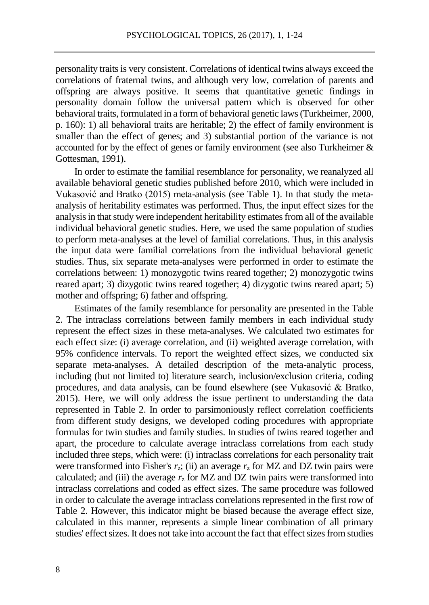personality traits is very consistent. Correlations of identical twins always exceed the correlations of fraternal twins, and although very low, correlation of parents and offspring are always positive. It seems that quantitative genetic findings in personality domain follow the universal pattern which is observed for other behavioral traits, formulated in a form of behavioral genetic laws(Turkheimer, 2000, p. 160): 1) all behavioral traits are heritable; 2) the effect of family environment is smaller than the effect of genes; and 3) substantial portion of the variance is not accounted for by the effect of genes or family environment (see also Turkheimer & Gottesman, 1991).

In order to estimate the familial resemblance for personality, we reanalyzed all available behavioral genetic studies published before 2010, which were included in Vukasović and Bratko (2015) meta-analysis (see Table 1). In that study the metaanalysis of heritability estimates was performed. Thus, the input effect sizes for the analysis in that study were independent heritability estimates from all of the available individual behavioral genetic studies. Here, we used the same population of studies to perform meta-analyses at the level of familial correlations. Thus, in this analysis the input data were familial correlations from the individual behavioral genetic studies. Thus, six separate meta-analyses were performed in order to estimate the correlations between: 1) monozygotic twins reared together; 2) monozygotic twins reared apart; 3) dizygotic twins reared together; 4) dizygotic twins reared apart; 5) mother and offspring; 6) father and offspring.

Estimates of the family resemblance for personality are presented in the Table 2. The intraclass correlations between family members in each individual study represent the effect sizes in these meta-analyses. We calculated two estimates for each effect size: (i) average correlation, and (ii) weighted average correlation, with 95% confidence intervals. To report the weighted effect sizes, we conducted six separate meta-analyses. A detailed description of the meta-analytic process, including (but not limited to) literature search, inclusion/exclusion criteria, coding procedures, and data analysis, can be found elsewhere (see Vukasović & Bratko, 2015). Here, we will only address the issue pertinent to understanding the data represented in Table 2. In order to parsimoniously reflect correlation coefficients from different study designs, we developed coding procedures with appropriate formulas for twin studies and family studies. In studies of twins reared together and apart, the procedure to calculate average intraclass correlations from each study included three steps, which were: (i) intraclass correlations for each personality trait were transformed into Fisher's  $r_z$ ; (ii) an average  $r_z$  for MZ and DZ twin pairs were calculated; and (iii) the average  $r<sub>z</sub>$  for MZ and DZ twin pairs were transformed into intraclass correlations and coded as effect sizes. The same procedure was followed in order to calculate the average intraclass correlations represented in the first row of Table 2. However, this indicator might be biased because the average effect size, calculated in this manner, represents a simple linear combination of all primary studies' effect sizes. It does not take into account the fact that effect sizes from studies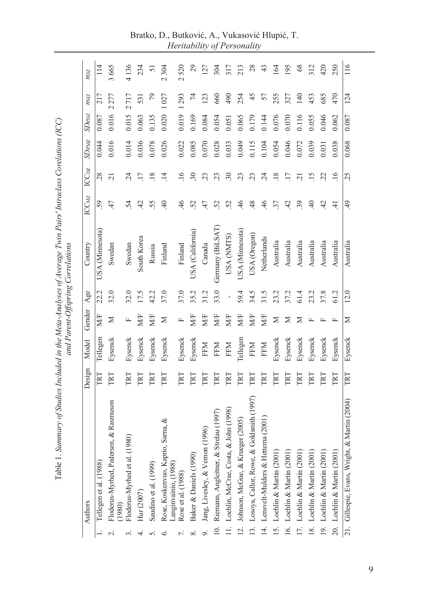|                  | Authors                                         | Design | Model      | Gender | Age            | Country          | ICCMZ          | ICC <sub>DZ</sub> | SDewE | SDer  | NML  | $n_{\rm DZ}$ |
|------------------|-------------------------------------------------|--------|------------|--------|----------------|------------------|----------------|-------------------|-------|-------|------|--------------|
|                  | Tellegen et al. (1988)                          | TRT    | Tellegen   | MF     | 22.2           | USA (Minnesota)  | 59             | 28                | 0.044 | 0.087 | 217  | 114          |
| $\sim$           | Floderus-Myrhed, Pedersen, & Rasmuson<br>(1980) | TRT    | Eysenck    | ≍      | 32.0           | Swedan           | 47             | $\overline{C}$    | 0.016 | 0.016 | 2277 | 3665         |
|                  | (1980)<br>Floderus-Myrhed et al                 | ERT    | Eysenck    | щ      | 32.0           | Swedan           | 54             | 24                | 0.014 | 0.015 | 2717 | 4136         |
| 4                | Hur (2007)                                      | ERT    | Eysenck    | N/F    | 17.5           | South Korea      | 42             | $\overline{17}$   | 0.036 | 0.063 | 531  | 234          |
| 5                | Saudino et al. (1999)                           | TRT    | Eysenck    | MF     | 42.2           | Russia           | 55             | $\overline{18}$   | 0.078 | 0.135 | 79   | 51           |
| $\circ$          | Rose, Koskenvuo, Kaprio, Sarna, &               | TRT    | Eysenck    | Σ      | 37.0           | Finland          | $\overline{4}$ | $\overline{14}$   | 0.026 | 0.020 | 1027 | 2304         |
|                  | Langinvainio, (1988)<br>Rose et al. (1988)      | ΓRΤ    | Eysenck    | щ      | 37.0           | Finland          | 46             | $\overline{16}$   | 0.022 | 0.019 | 1293 | 2520         |
| ∞ं               | Baker & Daniels (1990)                          | TRT    | Eysenck    | MÆ     | 35.2           | USA (Califomia)  | 52             | $\ddot{.}30$      | 0.085 | 0.169 | 74   | $^{29}$      |
| $\overline{9}$ . | Jang, Livesley, & Vernon (1996)                 | TRT    | <b>FFM</b> | MÆ     | 31.2           | Canada           | 47             | 23                | 0.070 | 0.084 | 123  | 127          |
|                  | 10. Riemann, Angleitner, & Strelau (1997)       | IRT    | <b>FFM</b> | MF     | 33.0           | Germany (BiLSAT) | 52             | 23                | 0.028 | 0.054 | 660  | 304          |
|                  | 11. Loehlin, McCrae, Costa, & John (1998)       | TRT    | FFM        | M/F    | $\blacksquare$ | USA (NMTS)       | 52             | 30                | 0.033 | 0.051 | 490  | 317          |
|                  | 12. Johnson, McGue, & Krueger (2005)            | ERT    | Tellegen   | MF     | 59.4           | USA (Minnesota)  | 46             | 23                | 0.049 | 0.065 | 254  | 213          |
|                  | & Goldsmith (1997)<br>13. Losoya, Callor, Rowe, | TRT    | FFM        | MÆ     | 34.5           | USA (Oregon)     | 48             | 23                | 0.115 | 0.179 | 45   | 28           |
|                  | 14. Lensvelt-Mulders & Hetterna (2001)          | TRT    | <b>FFM</b> | MF     | 31.5           | Netherlands      | 46             | 24                | 0.104 | 0.144 | 57   | 43           |
|                  | 15. Loehlin & Martin (2001)                     | TRT    | Eysenck    | ≍      | 23.2           | Australia        | 37             | $\overline{18}$   | 0.054 | 0.076 | 255  | 164          |
|                  | 16. Loehlin & Martin (2001)                     | ERT    | Eysenck    | ⋝      | 37.2           | Australia        | 42             | $\overline{17}$   | 0.046 | 0.070 | 327  | 195          |
|                  | 17. Loehlin & Martin (2001)                     | ERT    | Eysenck    | ⋝      | 61.4           | Australia        | 39             | $\overline{21}$   | 0.072 | 0.116 | 140  | 68           |
|                  | 18. Loehlin & Martin (2001)                     | ERT    | Eysenck    | 匞      | 23.2           | Australia        | $\overline{4}$ | 15                | 0.039 | 0.055 | 453  | 312          |
|                  | 19. Loehlin & Martin (2001)                     | TRT    | Eysenck    | 匞      | 37.8           | Australia        | 42             | 22                | 0.031 | 0.046 | 685  | 420          |
|                  | 20. Loehlin & Martin (2001)                     | TRT    | Eysenck    | 匞      | 61.2           | Australia        | $\pm$          | $\overline{16}$   | 0.038 | 0.062 | 470  | 250          |
|                  | 21. Gillespie, Evans, Wright, & Martin (2004)   | TRT    | Eysenck    | ⊠      | 12.0           | Australia        | $\ddot{ }$     | 25                | 0.068 | 0.087 | 124  | 116          |
|                  |                                                 |        |            |        |                |                  |                |                   |       |       |      |              |

Bratko, D., Butković, A., Vukasović Hlupić, T. *Heritability of Personality*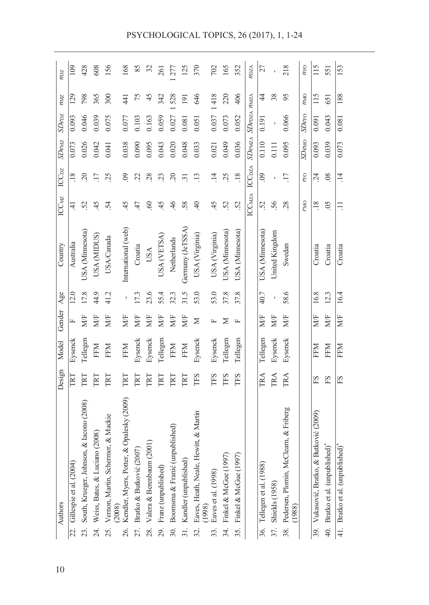|     | Authors                                            | Design                    | Model      | Gender | Age  | Country             | <b>ICCMZ</b>   | ICC <sub>DZ</sub>       | $SD$ e $wz$  | <b>SDepz</b>              | <b>ZNU</b>       | $n_{\rm DZ}$ |
|-----|----------------------------------------------------|---------------------------|------------|--------|------|---------------------|----------------|-------------------------|--------------|---------------------------|------------------|--------------|
|     | 22. Gillespie et al. (2004)                        | ГRТ                       | Eysenck    |        | 12.0 | Australia           | ₹.             | $\frac{8}{18}$          | 0.073        | 0.093                     | 129              | 109          |
|     | 23. South, Krueger, Johnson, & Iacono (2008)       | IRT                       | Tellegen   | MÆ     | 17.8 | USA (Minnesota)     | 52             | 20                      | 0.026        | 0.046                     | 798              | 428          |
|     | 24. Weiss, Bates, & Luciano (2008)                 | ERT                       | <b>NHH</b> | MÆ     | 44.9 | USA (MIDUS)         | 45             | $\overline{17}$         | 0.042        | 0.039                     | 365              | 608          |
|     | 25. Vernon, Martin, Schermer, & Mackie<br>(2008)   | TRT                       | <b>FFM</b> | MF     | 41.2 | <b>USA/Canada</b>   | 54             | 25                      | 0.041        | 0.075                     | 300              | 156          |
| 26. | & Opalesky (2009)<br>Kendler, Myers, Potter,       | ERT                       | <b>FFM</b> | MF     | I.   | International (web) | 45             | $\Theta$                | 0.038        | 0.077                     | 441              | 168          |
|     | 27. Bratko & Butković (2007)                       | RT                        | Eysenck    | MF     | 17.3 | Croatia             | 47             | $\tilde{\mathcal{L}}$   | 0.090        | 0.103                     | 75               | 85           |
| 28. | Valera & Berenbaum (2001)                          | ERT                       | Eysenck    | MF     | 23.6 | <b>USA</b>          | $\odot$        | 28                      | 0.095        | 0.163                     | 45               | 32           |
|     | 29. Franz (unpublished)                            | E                         | Tellegen   | MF     | 55.4 | USA (VETSA)         | 45             | 23                      | 0.043        | 0.059                     | 342              | 261          |
|     | 30. Boomsma & Franić (unpublished)                 | ERT                       | FFM        | MF     | 32.3 | Netherlands         | 46             | $20$                    | 0.020        | 0.027                     | 528              | 277          |
|     | 31. Kandler (unpublished)                          | ΓRΤ                       | <b>FFM</b> | MF     | 31.5 | Germany (JeTSSA)    | 58             | $\overline{31}$         | 0.048        | 0.081                     | $\overline{191}$ | 125          |
|     | 32. Eaves, Heath, Neale, Hewitt, & Martin (1998)   | TFS                       | Eysenck    | Σ      | 53.0 | USA (Virginia)      | $\overline{4}$ | $\frac{13}{2}$          | 0.033        | 0.051                     | 646              | 370          |
|     | 33. Eaves et al. $(1998)$                          | TFS                       | Eysenck    |        | 53.0 | USA (Virginia)      | 45             | $\vec{=}$               | 0.021        | 0.037                     | 418              | 702          |
|     | 34. Finkel & McGue (1997)                          | TFS                       | Tellegen   | ⋝      | 37.8 | USA (Minnesota)     | 52             | 25                      | 0.049        | 0.073                     | 220              | 165          |
| 35. | Finkel & McGue (1997                               | TFS                       | Tellegen   | щ      | 37.8 | USA (Minnesota)     | 52             | $\overline{18}$         | 0.036        | 0.052                     | 406              | 352          |
|     |                                                    |                           |            |        |      |                     | <b>ICCMZA</b>  | <b>ICC<sub>DZ</sub></b> |              | SDenzA SDe <sub>DZA</sub> | NNZA             | NDZA         |
|     | 36. Tellegen et al. (1988)                         | $\mathbb{R}^{\mathsf{A}}$ | Tellegen   | MÆ     | 40.7 | USA (Minnesota)     | 52             | $\odot$                 | 0.110        | 0.191                     | 4                | 27           |
|     | 37. Shields (1958)                                 | TRA                       | Eysenck    | M/F    |      | United Kingdom      | 56             |                         | 0.111        |                           | 38               |              |
|     | 38. Pedersen, Plomin, McCleam, & Friberg<br>(1988) | TRA                       | Eysenck    | MÆ     | 58.6 | Swedan              | 28             | $\overline{17}$         | 0.095        | 0.066                     | 95               | 218          |
|     |                                                    |                           |            |        |      |                     | <b>DWL</b>     | $r_{\rm FO}$            | <b>SDeMO</b> | SDero                     | $n_{\text{MO}}$  | $n_{\rm FO}$ |
|     | 39. Vukasović, Bratko, & Butković (2009)           | ES                        | NHH        | MÆ     | 16.8 | Croatia             | .18            | 24                      | 0.093        | 0.091                     | 115              | 115          |
|     | 40. Bratko et al. (unpublished)*                   | ES                        | <b>NHH</b> | MÆ     | 12.3 | Croatia             | $\overline{0}$ | $\frac{8}{2}$           | 0.039        | 0.043                     | 651              | 551          |
|     | 41. Bratko et al. (unpublished)*                   | ЕS                        | EFM        | M/F    | 16.4 | Croatia             | Ξ              | $\vec{=}$               | 0.073        | 0.081                     | 188              | 153          |
|     |                                                    |                           |            |        |      |                     |                |                         |              |                           |                  |              |

PSYCHOLOGICAL TOPICS, 26 (2017), 1, 1-24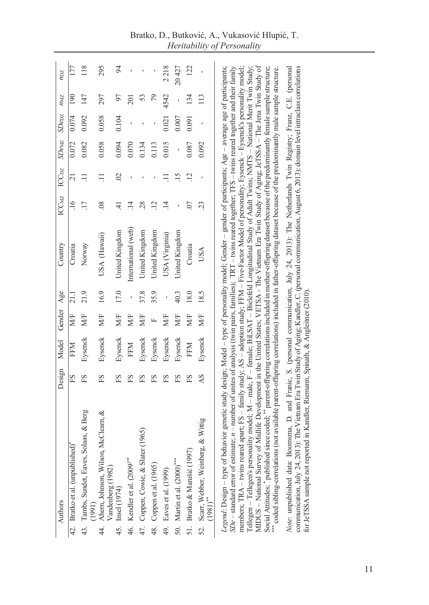| Authors                                                                                                                                                                                                                                                                                                                                                                                                                                                                                                                                                                                                                                                                                                                                                                                                                                                                                                                                                                                                                                                                                                                                                                                                                                                                                                                                                                                                                                                    | Design | Model      | Gender | Age            | Country                                                                                                                  | ICCMZ           | ICC <sub>DZ</sub> | SDewz | SDer                     | NML              | NDZ   |
|------------------------------------------------------------------------------------------------------------------------------------------------------------------------------------------------------------------------------------------------------------------------------------------------------------------------------------------------------------------------------------------------------------------------------------------------------------------------------------------------------------------------------------------------------------------------------------------------------------------------------------------------------------------------------------------------------------------------------------------------------------------------------------------------------------------------------------------------------------------------------------------------------------------------------------------------------------------------------------------------------------------------------------------------------------------------------------------------------------------------------------------------------------------------------------------------------------------------------------------------------------------------------------------------------------------------------------------------------------------------------------------------------------------------------------------------------------|--------|------------|--------|----------------|--------------------------------------------------------------------------------------------------------------------------|-----------------|-------------------|-------|--------------------------|------------------|-------|
| 42. Bratko et al. (unpublished)                                                                                                                                                                                                                                                                                                                                                                                                                                                                                                                                                                                                                                                                                                                                                                                                                                                                                                                                                                                                                                                                                                                                                                                                                                                                                                                                                                                                                            | ES     | EFM        | MÆ     |                | Croatia                                                                                                                  |                 | ្ម                | 0.072 | 0.074                    | $\frac{50}{2}$   |       |
|                                                                                                                                                                                                                                                                                                                                                                                                                                                                                                                                                                                                                                                                                                                                                                                                                                                                                                                                                                                                                                                                                                                                                                                                                                                                                                                                                                                                                                                            |        |            |        |                |                                                                                                                          | $\frac{16}{1}$  |                   |       |                          |                  |       |
| Solaas, & Berg<br>Tambs, Sundet, Eaves,<br>(1991)<br>43.                                                                                                                                                                                                                                                                                                                                                                                                                                                                                                                                                                                                                                                                                                                                                                                                                                                                                                                                                                                                                                                                                                                                                                                                                                                                                                                                                                                                   | ΕS     | Eysenck    | MÆ     | 21.9           | Norway                                                                                                                   | $\overline{17}$ |                   | 0.082 | 0.092                    | 147              | 118   |
| Ahem, Johnson, Wilson, McClearn, &<br>Vandenberg (1982)<br>Insel (1974)<br>4.                                                                                                                                                                                                                                                                                                                                                                                                                                                                                                                                                                                                                                                                                                                                                                                                                                                                                                                                                                                                                                                                                                                                                                                                                                                                                                                                                                              | ΕS     | Eysenck    | MÆ     | 16.9           | USA (Hawaii)                                                                                                             | $\frac{8}{2}$   | Ξ                 | 0.058 | 0.058                    | 297              | 295   |
| 45.                                                                                                                                                                                                                                                                                                                                                                                                                                                                                                                                                                                                                                                                                                                                                                                                                                                                                                                                                                                                                                                                                                                                                                                                                                                                                                                                                                                                                                                        | ΕS     | Eysenck    | MÆ     | 17.0           | United Kingdom                                                                                                           | £               | $\mathfrak{S}$    | 0.094 | 0.104                    | 57               | 54    |
| 46. Kendler et al. (2009)**                                                                                                                                                                                                                                                                                                                                                                                                                                                                                                                                                                                                                                                                                                                                                                                                                                                                                                                                                                                                                                                                                                                                                                                                                                                                                                                                                                                                                                | ES     | <b>FFM</b> | MÆ     |                | International (web)                                                                                                      | $\overline{14}$ |                   | 0.070 | $\overline{1}$           | $\overline{201}$ |       |
| 47. Coppen, Cowie, & Slater (1965)                                                                                                                                                                                                                                                                                                                                                                                                                                                                                                                                                                                                                                                                                                                                                                                                                                                                                                                                                                                                                                                                                                                                                                                                                                                                                                                                                                                                                         | ΕS     | Eysenck    | MÆ     | 37.8           | United Kingdom                                                                                                           | 28              |                   | 0.134 |                          | 53               |       |
| 48. Coppen et al. (1965)                                                                                                                                                                                                                                                                                                                                                                                                                                                                                                                                                                                                                                                                                                                                                                                                                                                                                                                                                                                                                                                                                                                                                                                                                                                                                                                                                                                                                                   | ΕS     | Eysenck    | 匞      | 35.9           | United Kingdom                                                                                                           | $\overline{12}$ |                   | 0.113 |                          | 79               |       |
| 49. Eaves et al. (1999)                                                                                                                                                                                                                                                                                                                                                                                                                                                                                                                                                                                                                                                                                                                                                                                                                                                                                                                                                                                                                                                                                                                                                                                                                                                                                                                                                                                                                                    | ΕS     | Eysenck    | MÆ     | $\blacksquare$ | USA (Virginia)                                                                                                           | $\vec{=}$       |                   | 0.015 | 0.021                    | 4542             | 2218  |
| 50. Martin et al. (2000)***                                                                                                                                                                                                                                                                                                                                                                                                                                                                                                                                                                                                                                                                                                                                                                                                                                                                                                                                                                                                                                                                                                                                                                                                                                                                                                                                                                                                                                | ΕS     | Eysenck    | MÆ     | 40.3           | United Kingdom                                                                                                           |                 | $\overline{15}$   | ï     | 0.007                    |                  | 20427 |
| 51. Bratko & Marušić (1997)                                                                                                                                                                                                                                                                                                                                                                                                                                                                                                                                                                                                                                                                                                                                                                                                                                                                                                                                                                                                                                                                                                                                                                                                                                                                                                                                                                                                                                | ΕS     | <b>FFM</b> | MÆ     | 18.0           | Croatia                                                                                                                  | S.              | $\overline{12}$   | 0.087 | 0.091                    | 134              | 122   |
| 52. Scarr, Webber, Weinberg, & Wittig<br>(1981)**                                                                                                                                                                                                                                                                                                                                                                                                                                                                                                                                                                                                                                                                                                                                                                                                                                                                                                                                                                                                                                                                                                                                                                                                                                                                                                                                                                                                          | AS     | Eysenck    | MÆ     | 18.5           | <b>USA</b>                                                                                                               | 23              |                   | 0.092 | $\overline{\phantom{a}}$ | 113              |       |
| MIDUS - National Survey of Midlife Development in the United States; VETSA - The Vietnam Era Twin Study of Aging; JeTSSA - The Jena Twin Study of<br>communication, July 24, 2013): The Vietnam Era Twin Study of Aging; Kandler, C. (personal communication, August 6, 2013): domain level intraclass correlations<br>members; TRA – twins reared apart; FS – family study; AS – adoption study; FFM – Five-Factor Model of personality; Eysenck – Eysenck's personality model;<br>Tellegen - Tellegen's personality model; M - male, F - female; BiLSAT - Bielefeld Longitudinal Study of Adult Twins; NMTS - National Merit Twin Study;<br>Legend: Design - type of behavior genetic study design; Model - type of personality model; Gender - gender of participants; Age - average age of participants;<br>$SDe$ – standard error of estimate; $n$ – number of unites of analysis (twin pairs, families); TRT – twins reared together; TFS – twins reared together and their family<br>Social Attitudes; * published since coded; ** parent-offspring correlations included in mother-offspring dataset because of the predominantly female sample structure;<br>**** coded sibling-correlations (not available parent-offspring correlations) included in father-offspring dataset because of the predominantly male sample structure<br>for JeTSSA sample not reported in Kandler, Riemann, Spinath, & Angleitner (2010)<br>Note: unpublished data: |        |            |        |                | Boomsma, D. and Franic, S. (personal communication, July 24, 2013): The Netherlands Twin Registry; Franz, C.E. (personal |                 |                   |       |                          |                  |       |

Bratko, D., Butković, A., Vukasović Hlupić, T. *Heritability of Personality*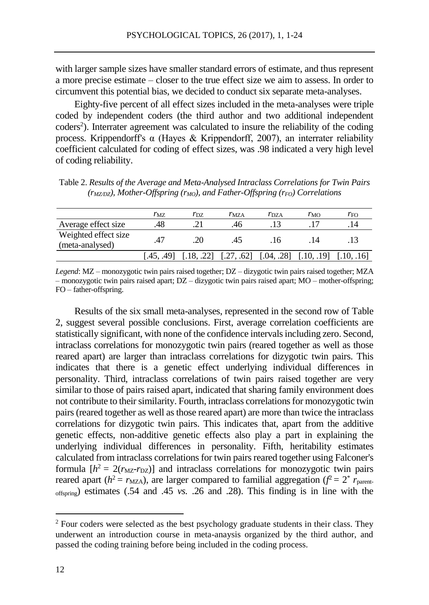with larger sample sizes have smaller standard errors of estimate, and thus represent a more precise estimate – closer to the true effect size we aim to assess. In order to circumvent this potential bias, we decided to conduct six separate meta-analyses.

Eighty-five percent of all effect sizes included in the meta-analyses were triple coded by independent coders (the third author and two additional independent coders<sup>2</sup>). Interrater agreement was calculated to insure the reliability of the coding process. Krippendorff's α (Hayes & Krippendorff, 2007), an interrater reliability coefficient calculated for coding of effect sizes, was .98 indicated a very high level of coding reliability.

| Table 2. Results of the Average and Meta-Analysed Intraclass Correlations for Twin Pairs     |  |
|----------------------------------------------------------------------------------------------|--|
| $(r_{MZDZ})$ , Mother-Offspring ( $r_{MO}$ ), and Father-Offspring ( $r_{FO}$ ) Correlations |  |

|                                         | $r_{\rm MZ}$ | $r_{\rm DZ}$ | $r_{\rm MZA}$ | $r_{\rm DZA}$ | $r_{\rm MO}$ | $r_{\rm FO}$ |
|-----------------------------------------|--------------|--------------|---------------|---------------|--------------|--------------|
| Average effect size                     | .48          |              | .46           |               |              |              |
| Weighted effect size<br>(meta-analysed) | .47          | 20           | 45            | .16           | .14          |              |
|                                         | [.45, .49]   |              | [.27. .62]    | [.04, .28]    | [.10. .191   |              |

*Legend*: MZ – monozygotic twin pairs raised together; DZ – dizygotic twin pairs raised together; MZA – monozygotic twin pairs raised apart; DZ – dizygotic twin pairs raised apart; MO – mother-offspring; FO – father-offspring.

Results of the six small meta-analyses, represented in the second row of Table 2, suggest several possible conclusions. First, average correlation coefficients are statistically significant, with none of the confidence intervals including zero. Second, intraclass correlations for monozygotic twin pairs (reared together as well as those reared apart) are larger than intraclass correlations for dizygotic twin pairs. This indicates that there is a genetic effect underlying individual differences in personality. Third, intraclass correlations of twin pairs raised together are very similar to those of pairs raised apart, indicated that sharing family environment does not contribute to their similarity. Fourth, intraclass correlations for monozygotic twin pairs (reared together as well as those reared apart) are more than twice the intraclass correlations for dizygotic twin pairs. This indicates that, apart from the additive genetic effects, non-additive genetic effects also play a part in explaining the underlying individual differences in personality. Fifth, heritability estimates calculated from intraclass correlations for twin pairs reared together using Falconer's formula  $[h^2 = 2(r_{\text{MZ}} - r_{\text{DZ}})]$  and intraclass correlations for monozygotic twin pairs reared apart ( $h^2 = r_{\text{MZA}}$ ), are larger compared to familial aggregation ( $f^2 = 2^* r_{\text{parent}}$ offspring) estimates (.54 and .45 *vs.* .26 and .28). This finding is in line with the

 $\overline{a}$ 

<sup>&</sup>lt;sup>2</sup> Four coders were selected as the best psychology graduate students in their class. They underwent an introduction course in meta-anaysis organized by the third author, and passed the coding training before being included in the coding process.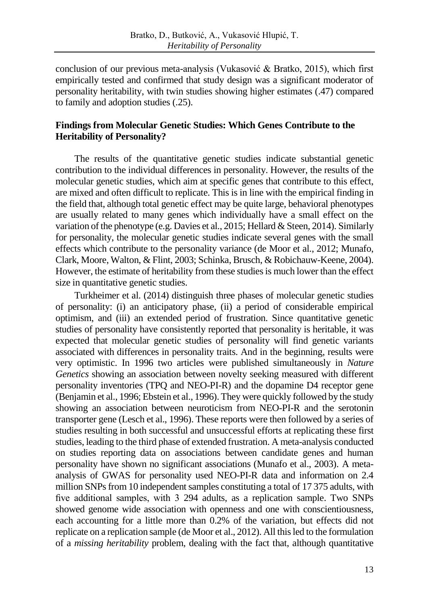conclusion of our previous meta-analysis (Vukasović & Bratko, 2015), which first empirically tested and confirmed that study design was a significant moderator of personality heritability, with twin studies showing higher estimates (.47) compared to family and adoption studies (.25).

### **Findings from Molecular Genetic Studies: Which Genes Contribute to the Heritability of Personality?**

The results of the quantitative genetic studies indicate substantial genetic contribution to the individual differences in personality. However, the results of the molecular genetic studies, which aim at specific genes that contribute to this effect, are mixed and often difficult to replicate. This is in line with the empirical finding in the field that, although total genetic effect may be quite large, behavioral phenotypes are usually related to many genes which individually have a small effect on the variation of the phenotype (e.g. Davies et al., 2015; Hellard & Steen, 2014). Similarly for personality, the molecular genetic studies indicate several genes with the small effects which contribute to the personality variance (de Moor et al., 2012; Munafo, Clark, Moore, Walton, & Flint, 2003; Schinka, Brusch, & Robichauw-Keene, 2004). However, the estimate of heritability from these studies is much lower than the effect size in quantitative genetic studies.

Turkheimer et al. (2014) distinguish three phases of molecular genetic studies of personality: (i) an anticipatory phase, (ii) a period of considerable empirical optimism, and (iii) an extended period of frustration. Since quantitative genetic studies of personality have consistently reported that personality is heritable, it was expected that molecular genetic studies of personality will find genetic variants associated with differences in personality traits. And in the beginning, results were very optimistic. In 1996 two articles were published simultaneously in *Nature Genetics* showing an association between novelty seeking measured with different personality inventories (TPQ and NEO-PI-R) and the dopamine D4 receptor gene (Benjamin et al., 1996; Ebstein et al., 1996). They were quickly followed by the study showing an association between neuroticism from NEO-PI-R and the serotonin transporter gene (Lesch et al., 1996). These reports were then followed by a series of studies resulting in both successful and unsuccessful efforts at replicating these first studies, leading to the third phase of extended frustration. A meta-analysis conducted on studies reporting data on associations between candidate genes and human personality have shown no significant associations (Munafo et al., 2003). A metaanalysis of GWAS for personality used NEO-PI-R data and information on 2.4 million SNPs from 10 independent samples constituting a total of 17 375 adults, with five additional samples, with 3 294 adults, as a replication sample. Two SNPs showed genome wide association with openness and one with conscientiousness, each accounting for a little more than 0.2% of the variation, but effects did not replicate on a replication sample (de Moor et al., 2012). All thisled to the formulation of a *missing heritability* problem, dealing with the fact that, although quantitative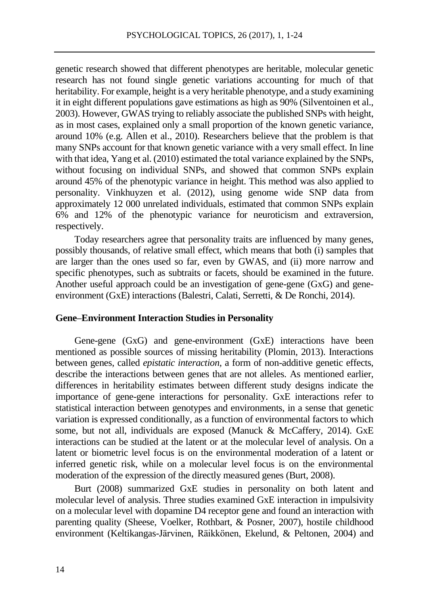genetic research showed that different phenotypes are heritable, molecular genetic research has not found single genetic variations accounting for much of that heritability. For example, height is a very heritable phenotype, and a study examining it in eight different populations gave estimations as high as 90% (Silventoinen et al., 2003). However, GWAS trying to reliably associate the published SNPs with height, as in most cases, explained only a small proportion of the known genetic variance, around 10% (e.g. Allen et al., 2010). Researchers believe that the problem is that many SNPs account for that known genetic variance with a very small effect. In line with that idea, Yang et al. (2010) estimated the total variance explained by the SNPs, without focusing on individual SNPs, and showed that common SNPs explain around 45% of the phenotypic variance in height. This method was also applied to personality. Vinkhuyzen et al. (2012), using genome wide SNP data from approximately 12 000 unrelated individuals, estimated that common SNPs explain 6% and 12% of the phenotypic variance for neuroticism and extraversion, respectively.

Today researchers agree that personality traits are influenced by many genes, possibly thousands, of relative small effect, which means that both (i) samples that are larger than the ones used so far, even by GWAS, and (ii) more narrow and specific phenotypes, such as subtraits or facets, should be examined in the future. Another useful approach could be an investigation of gene-gene (GxG) and geneenvironment (GxE) interactions (Balestri, Calati, Serretti, & De Ronchi, 2014).

### **Gene–Environment Interaction Studies in Personality**

Gene-gene (GxG) and gene-environment (GxE) interactions have been mentioned as possible sources of missing heritability (Plomin, 2013). Interactions between genes, called *epistatic interaction*, a form of non-additive genetic effects, describe the interactions between genes that are not alleles. As mentioned earlier, differences in heritability estimates between different study designs indicate the importance of gene-gene interactions for personality. GxE interactions refer to statistical interaction between genotypes and environments, in a sense that genetic variation is expressed conditionally, as a function of environmental factors to which some, but not all, individuals are exposed (Manuck & McCaffery, 2014). GxE interactions can be studied at the latent or at the molecular level of analysis. On a latent or biometric level focus is on the environmental moderation of a latent or inferred genetic risk, while on a molecular level focus is on the environmental moderation of the expression of the directly measured genes (Burt, 2008).

Burt (2008) summarized GxE studies in personality on both latent and molecular level of analysis. Three studies examined GxE interaction in impulsivity on a molecular level with dopamine D4 receptor gene and found an interaction with parenting quality (Sheese, Voelker, Rothbart, & Posner, 2007), hostile childhood environment (Keltikangas-Järvinen, Räikkönen, Ekelund, & Peltonen, 2004) and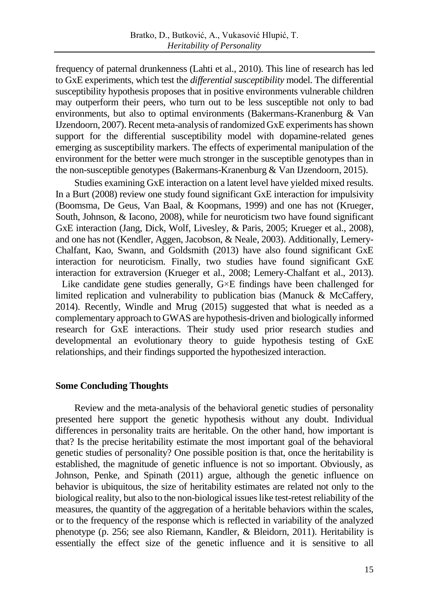frequency of paternal drunkenness (Lahti et al., 2010). This line of research has led to GxE experiments, which test the *differential susceptibility* model. The differential susceptibility hypothesis proposes that in positive environments vulnerable children may outperform their peers, who turn out to be less susceptible not only to bad environments, but also to optimal environments (Bakermans-Kranenburg & Van IJzendoorn, 2007). Recent meta-analysis of randomized GxE experiments has shown support for the differential susceptibility model with dopamine-related genes emerging as susceptibility markers. The effects of experimental manipulation of the environment for the better were much stronger in the susceptible genotypes than in the non-susceptible genotypes (Bakermans-Kranenburg & Van IJzendoorn, 2015).

Studies examining GxE interaction on a latent level have yielded mixed results. In a Burt (2008) review one study found significant GxE interaction for impulsivity (Boomsma, De Geus, Van Baal, & Koopmans, 1999) and one has not (Krueger, South, Johnson, & Iacono, 2008), while for neuroticism two have found significant GxE interaction (Jang, Dick, Wolf, Livesley, & Paris, 2005; Krueger et al., 2008), and one has not (Kendler, Aggen, Jacobson, & Neale, 2003). Additionally, Lemery-Chalfant, Kao, Swann, and Goldsmith (2013) have also found significant GxE interaction for neuroticism. Finally, two studies have found significant GxE interaction for extraversion (Krueger et al., 2008; Lemery-Chalfant et al., 2013). Like candidate gene studies generally, G×E findings have been challenged for

limited replication and vulnerability to publication bias (Manuck & McCaffery, 2014). Recently, Windle and Mrug (2015) suggested that what is needed as a complementary approach to GWAS are hypothesis-driven and biologically informed research for GxE interactions. Their study used prior research studies and developmental an evolutionary theory to guide hypothesis testing of GxE relationships, and their findings supported the hypothesized interaction.

### **Some Concluding Thoughts**

Review and the meta-analysis of the behavioral genetic studies of personality presented here support the genetic hypothesis without any doubt. Individual differences in personality traits are heritable. On the other hand, how important is that? Is the precise heritability estimate the most important goal of the behavioral genetic studies of personality? One possible position is that, once the heritability is established, the magnitude of genetic influence is not so important. Obviously, as Johnson, Penke, and Spinath (2011) argue, although the genetic influence on behavior is ubiquitous, the size of heritability estimates are related not only to the biological reality, but also to the non-biological issues like test-retest reliability of the measures, the quantity of the aggregation of a heritable behaviors within the scales, or to the frequency of the response which is reflected in variability of the analyzed phenotype (p. 256; see also Riemann, Kandler, & Bleidorn, 2011). Heritability is essentially the effect size of the genetic influence and it is sensitive to all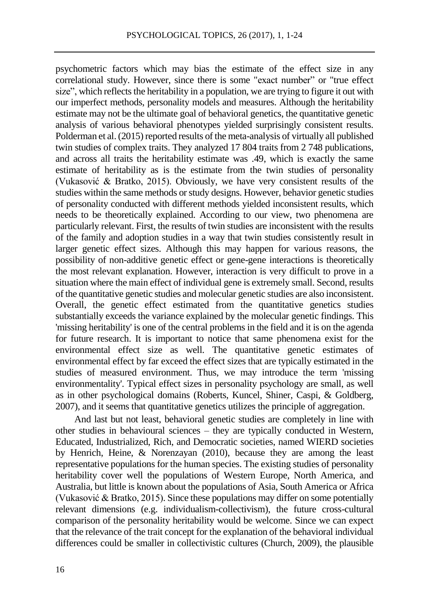psychometric factors which may bias the estimate of the effect size in any correlational study. However, since there is some "exact number" or "true effect size", which reflects the heritability in a population, we are trying to figure it out with our imperfect methods, personality models and measures. Although the heritability estimate may not be the ultimate goal of behavioral genetics, the quantitative genetic analysis of various behavioral phenotypes yielded surprisingly consistent results. Polderman et al. (2015) reported results of the meta-analysis of virtually all published twin studies of complex traits. They analyzed 17 804 traits from 2 748 publications, and across all traits the heritability estimate was .49, which is exactly the same estimate of heritability as is the estimate from the twin studies of personality (Vukasović & Bratko, 2015). Obviously, we have very consistent results of the studies within the same methods or study designs. However, behavior genetic studies of personality conducted with different methods yielded inconsistent results, which needs to be theoretically explained. According to our view, two phenomena are particularly relevant. First, the results of twin studies are inconsistent with the results of the family and adoption studies in a way that twin studies consistently result in larger genetic effect sizes. Although this may happen for various reasons, the possibility of non-additive genetic effect or gene-gene interactions is theoretically the most relevant explanation. However, interaction is very difficult to prove in a situation where the main effect of individual gene is extremely small. Second, results of the quantitative genetic studies and molecular genetic studies are also inconsistent. Overall, the genetic effect estimated from the quantitative genetics studies substantially exceeds the variance explained by the molecular genetic findings. This 'missing heritability' is one of the central problems in the field and it is on the agenda for future research. It is important to notice that same phenomena exist for the environmental effect size as well. The quantitative genetic estimates of environmental effect by far exceed the effect sizes that are typically estimated in the studies of measured environment. Thus, we may introduce the term 'missing environmentality'. Typical effect sizes in personality psychology are small, as well as in other psychological domains (Roberts, Kuncel, Shiner, Caspi, & Goldberg, 2007), and it seems that quantitative genetics utilizes the principle of aggregation.

And last but not least, behavioral genetic studies are completely in line with other studies in behavioural sciences – they are typically conducted in Western, Educated, Industrialized, Rich, and Democratic societies, named WIERD societies by Henrich, Heine, & Norenzayan (2010), because they are among the least representative populations for the human species. The existing studies of personality heritability cover well the populations of Western Europe, North America, and Australia, but little is known about the populations of Asia, South America or Africa (Vukasović & Bratko, 2015). Since these populations may differ on some potentially relevant dimensions (e.g. individualism-collectivism), the future cross-cultural comparison of the personality heritability would be welcome. Since we can expect that the relevance of the trait concept for the explanation of the behavioral individual differences could be smaller in collectivistic cultures (Church, 2009), the plausible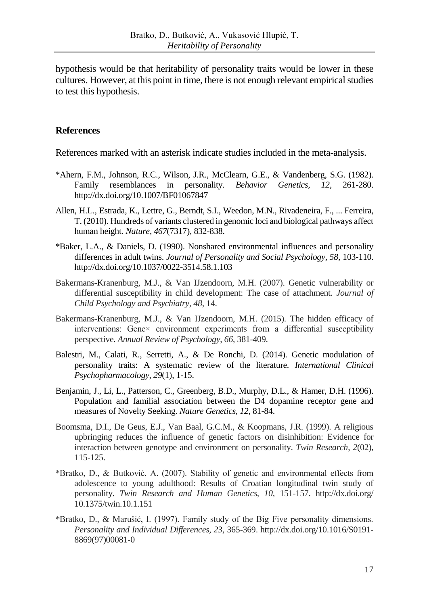hypothesis would be that heritability of personality traits would be lower in these cultures. However, at this point in time, there is not enough relevant empirical studies to test this hypothesis.

### **References**

References marked with an asterisk indicate studies included in the meta-analysis.

- \*Ahern, F.M., Johnson, R.C., Wilson, J.R., McClearn, G.E., & Vandenberg, S.G. (1982). Family resemblances in personality. *Behavior Genetics, 12,* 261-280. http://dx.doi.org/10.1007/BF01067847
- Allen, H.L., Estrada, K., Lettre, G., Berndt, S.I., Weedon, M.N., Rivadeneira, F., ... Ferreira, T. (2010). Hundreds of variants clustered in genomic loci and biological pathways affect human height. *Nature*, *467*(7317), 832-838.
- \*Baker, L.A., & Daniels, D. (1990). Nonshared environmental influences and personality differences in adult twins. *Journal of Personality and Social Psychology, 58,* 103-110. http://dx.doi.org/10.1037/0022-3514.58.1.103
- Bakermans-Kranenburg, M.J., & Van IJzendoorn, M.H. (2007). Genetic vulnerability or differential susceptibility in child development: The case of attachment. *Journal of Child Psychology and Psychiatry*, *48*, 14.
- Bakermans-Kranenburg, M.J., & Van IJzendoorn, M.H. (2015). The hidden efficacy of interventions: Gene× environment experiments from a differential susceptibility perspective. *Annual Review of Psychology*, *66*, 381-409.
- Balestri, M., Calati, R., Serretti, A., & De Ronchi, D. (2014). Genetic modulation of personality traits: A systematic review of the literature. *International Clinical Psychopharmacology*, *29*(1), 1-15.
- Benjamin, J., Li, L., Patterson, C., Greenberg, B.D., Murphy, D.L., & Hamer, D.H. (1996). Population and familial association between the D4 dopamine receptor gene and measures of Novelty Seeking. *Nature Genetics, 12*, 81-84.
- Boomsma, D.I., De Geus, E.J., Van Baal, G.C.M., & Koopmans, J.R. (1999). A religious upbringing reduces the influence of genetic factors on disinhibition: Evidence for interaction between genotype and environment on personality. *Twin Research*, *2*(02), 115-125.
- \*Bratko, D., & Butković, A. (2007). Stability of genetic and environmental effects from adolescence to young adulthood: Results of Croatian longitudinal twin study of personality. *Twin Research and Human Genetics, 10,* 151-157. http://dx.doi.org/ 10.1375/twin.10.1.151
- \*Bratko, D., & Marušić, I. (1997). Family study of the Big Five personality dimensions. *Personality and Individual Differences, 23,* 365-369. http://dx.doi.org/10.1016/S0191- 8869(97)00081-0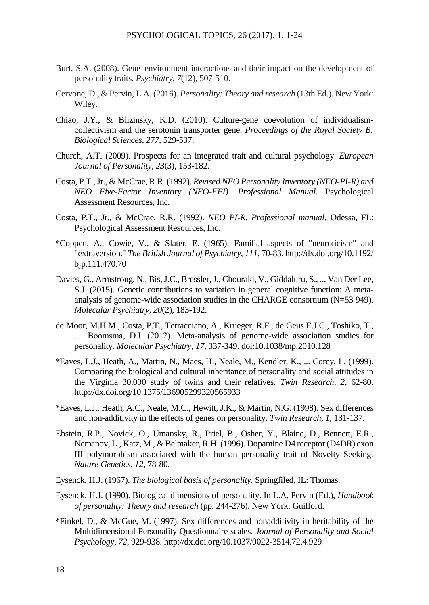- Burt, S.A. (2008). Gene–environment interactions and their impact on the development of personality traits. *Psychiatry*, *7*(12), 507-510.
- Cervone, D., & Pervin, L.A. (2016). *Personality: Theory and research* (13th Ed.). New York: Wiley.
- Chiao, J.Y., & Blizinsky, K.D. (2010). Culture-gene coevolution of individualismcollectivism and the serotonin transporter gene. *Proceedings of the Royal Society B: Biological Sciences, 277,* 529-537.
- Church, A.T. (2009). Prospects for an integrated trait and cultural psychology. *European Journal of Personality*, *23*(3), 153-182.
- Costa, P.T.,Jr., & McCrae, R.R. (1992). *Revised NEO Personality Inventory (NEO-PI-R) and NEO Five-Factor Inventory (NEO-FFI). Professional Manual*. Psychological Assessment Resources, Inc.
- Costa, P.T., Jr., & McCrae, R.R. (1992). *NEO PI-R. Professional manual*. Odessa, FL: Psychological Assessment Resources, Inc.
- \*Coppen, A., Cowie, V., & Slater, E. (1965). Familial aspects of "neuroticism" and "extraversion." *The British Journal of Psychiatry, 111,* 70-83. http://dx.doi.org/10.1192/ bjp.111.470.70
- Davies, G., Armstrong, N., Bis, J.C., Bressler, J., Chouraki, V., Giddaluru, S., ... Van Der Lee, S.J. (2015). Genetic contributions to variation in general cognitive function: A metaanalysis of genome-wide association studies in the CHARGE consortium (N=53 949). *Molecular Psychiatry*, *20*(2), 183-192.
- de Moor, M.H.M., Costa, P.T., Terracciano, A., Krueger, R.F., de Geus E.J.C., Toshiko, T., … Boomsma, D.I. (2012). Meta-analysis of genome-wide association studies for personality. *Molecular Psychiatry, 17*, 337-349. doi:10.1038/mp.2010.128
- \*Eaves, L.J., Heath, A., Martin, N., Maes, H., Neale, M., Kendler, K., ... Corey, L. (1999). Comparing the biological and cultural inheritance of personality and social attitudes in the Virginia 30,000 study of twins and their relatives. *Twin Research, 2,* 62-80. http://dx.doi.org/10.1375/136905299320565933
- \*Eaves, L.J., Heath, A.C., Neale, M.C., Hewitt, J.K., & Martin, N.G. (1998). Sex differences and non-additivity in the effects of genes on personality. *Twin Research, 1,* 131-137.
- Ebstein, R.P., Novick, O., Umansky, R., Priel, B., Osher, Y., Blaine, D., Bennett, E.R., Nemanov, L., Katz, M., & Belmaker, R.H. (1996). Dopamine D4 receptor (D4DR) exon III polymorphism associated with the human personality trait of Novelty Seeking. *Nature Genetics, 12,* 78-80.
- Eysenck, H.J. (1967). *The biological basis of personality.* Springfiled, IL: Thomas.
- Eysenck, H.J. (1990). Biological dimensions of personality. In L.A. Pervin (Ed.), *Handbook of personality: Theory and research* (pp. 244-276). New York: Guilford.
- \*Finkel, D., & McGue, M. (1997). Sex differences and nonadditivity in heritability of the Multidimensional Personality Questionnaire scales. *Journal of Personality and Social Psychology, 72,* 929-938. http://dx.doi.org/10.1037/0022-3514.72.4.929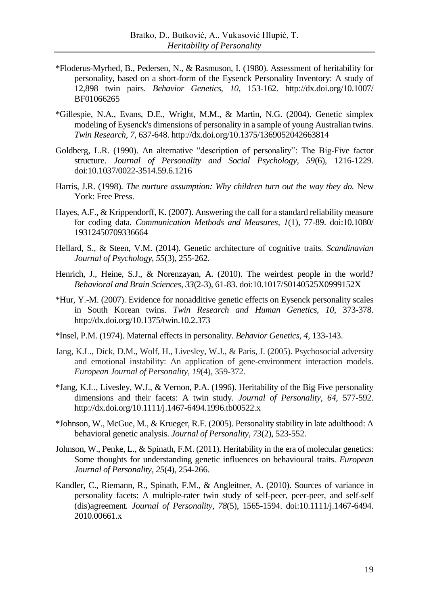- \*Floderus-Myrhed, B., Pedersen, N., & Rasmuson, I. (1980). Assessment of heritability for personality, based on a short-form of the Eysenck Personality Inventory: A study of 12,898 twin pairs. *Behavior Genetics, 10,* 153-162. http://dx.doi.org/10.1007/ BF01066265
- \*Gillespie, N.A., Evans, D.E., Wright, M.M., & Martin, N.G. (2004). Genetic simplex modeling of Eysenck's dimensions of personality in a sample of young Australian twins. *Twin Research, 7,* 637-648. http://dx.doi.org/10.1375/1369052042663814
- Goldberg, L.R. (1990). An alternative "description of personality": The Big-Five factor structure. *Journal of Personality and Social Psychology, 59*(6)*,* 1216-1229. doi:10.1037/0022-3514.59.6.1216
- Harris, J.R. (1998). *The nurture assumption: Why children turn out the way they do.* New York: Free Press.
- Hayes, A.F., & Krippendorff, K. (2007). Answering the call for a standard reliability measure for coding data. *Communication Methods and Measures*, *1*(1), 77-89. doi:10.1080/ 19312450709336664
- Hellard, S., & Steen, V.M. (2014). Genetic architecture of cognitive traits. *Scandinavian Journal of Psychology*, *55*(3), 255-262.
- Henrich, J., Heine, S.J., & Norenzayan, A. (2010). The weirdest people in the world? *Behavioral and Brain Sciences*, *33*(2-3), 61-83. doi:10.1017/S0140525X0999152X
- \*Hur, Y.-M. (2007). Evidence for nonadditive genetic effects on Eysenck personality scales in South Korean twins. *Twin Research and Human Genetics, 10,* 373-378. http://dx.doi.org/10.1375/twin.10.2.373
- \*Insel, P.M. (1974). Maternal effects in personality. *Behavior Genetics, 4,* 133-143.
- Jang, K.L., Dick, D.M., Wolf, H., Livesley, W.J., & Paris, J. (2005). Psychosocial adversity and emotional instability: An application of gene-environment interaction models. *European Journal of Personality*, *19*(4), 359-372.
- \*Jang, K.L., Livesley, W.J., & Vernon, P.A. (1996). Heritability of the Big Five personality dimensions and their facets: A twin study. *Journal of Personality, 64,* 577-592. http://dx.doi.org/10.1111/j.1467-6494.1996.tb00522.x
- \*Johnson, W., McGue, M., & Krueger, R.F. (2005). Personality stability in late adulthood: A behavioral genetic analysis. *Journal of Personality*, *73*(2), 523-552.
- Johnson, W., Penke, L., & Spinath, F.M. (2011). Heritability in the era of molecular genetics: Some thoughts for understanding genetic influences on behavioural traits. *European Journal of Personality*, *25*(4), 254-266.
- Kandler, C., Riemann, R., Spinath, F.M., & Angleitner, A. (2010). Sources of variance in personality facets: A multiple-rater twin study of self-peer, peer-peer, and self-self (dis)agreement*. Journal of Personality, 78*(5), 1565-1594. doi:10.1111/j.1467-6494. 2010.00661.x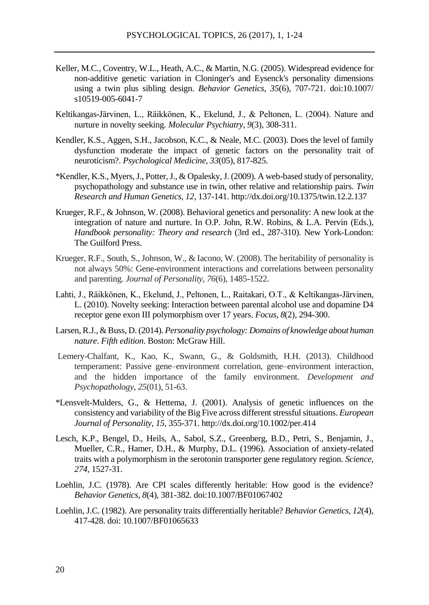- Keller, M.C., Coventry, W.L., Heath, A.C., & Martin, N.G. (2005). Widespread evidence for non-additive genetic variation in Cloninger's and Eysenck's personality dimensions using a twin plus sibling design. *Behavior Genetics*, *35*(6), 707-721. doi:10.1007/ s10519-005-6041-7
- Keltikangas-Järvinen, L., Räikkönen, K., Ekelund, J., & Peltonen, L. (2004). Nature and nurture in novelty seeking. *Molecular Psychiatry*, *9*(3), 308-311.
- Kendler, K.S., Aggen, S.H., Jacobson, K.C., & Neale, M.C. (2003). Does the level of family dysfunction moderate the impact of genetic factors on the personality trait of neuroticism?. *Psychological Medicine*, *33*(05), 817-825.
- \*Kendler, K.S., Myers, J., Potter, J., & Opalesky, J. (2009). A web-based study of personality, psychopathology and substance use in twin, other relative and relationship pairs. *Twin Research and Human Genetics, 12,* 137-141. http://dx.doi.org/10.1375/twin.12.2.137
- Krueger, R.F., & Johnson, W. (2008). Behavioral genetics and personality: A new look at the integration of nature and nurture. In O.P. John, R.W. Robins, & L.A. Pervin (Eds.), *Handbook personality: Theory and research* (3rd ed., 287-310). New York-London: The Guilford Press.
- Krueger, R.F., South, S., Johnson, W., & Iacono, W. (2008). The heritability of personality is not always 50%: Gene-environment interactions and correlations between personality and parenting. *Journal of Personality*, *76*(6), 1485-1522.
- Lahti, J., Räikkönen, K., Ekelund, J., Peltonen, L., Raitakari, O.T., & Keltikangas-Järvinen, L. (2010). Novelty seeking: Interaction between parental alcohol use and dopamine D4 receptor gene exon III polymorphism over 17 years. *Focus*, *8*(2), 294-300.
- Larsen, R.J., & Buss, D. (2014). *Personality psychology: Domains of knowledge about human nature*. *Fifth edition*. Boston: McGraw Hill.
- Lemery-Chalfant, K., Kao, K., Swann, G., & Goldsmith, H.H. (2013). Childhood temperament: Passive gene–environment correlation, gene–environment interaction, and the hidden importance of the family environment. *Development and Psychopathology*, *25*(01), 51-63.
- \*Lensvelt-Mulders, G., & Hettema, J. (2001). Analysis of genetic influences on the consistency and variability of the Big Five across different stressful situations. *European Journal of Personality, 15,* 355-371. http://dx.doi.org/10.1002/per.414
- Lesch, K.P., Bengel, D., Heils, A., Sabol, S.Z., Greenberg, B.D., Petri, S., Benjamin, J., Mueller, C.R., Hamer, D.H., & Murphy, D.L. (1996). Association of anxiety-related traits with a polymorphism in the serotonin transporter gene regulatory region. *Science, 274*, 1527-31.
- Loehlin, J.C. (1978). Are CPI scales differently heritable: How good is the evidence? *Behavior Genetics, 8*(4), 381-382. doi:10.1007/BF01067402
- Loehlin, J.C. (1982). Are personality traits differentially heritable? *Behavior Genetics, 12*(4), 417-428. doi: 10.1007/BF01065633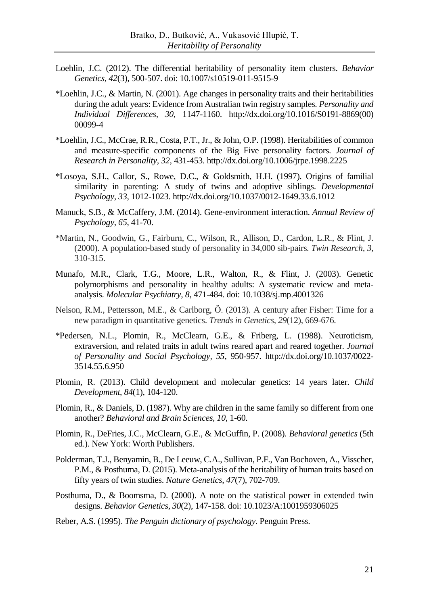- Loehlin, J.C. (2012). The differential heritability of personality item clusters. *Behavior Genetics, 42*(3), 500-507. doi: 10.1007/s10519-011-9515-9
- \*Loehlin, J.C., & Martin, N. (2001). Age changes in personality traits and their heritabilities during the adult years: Evidence from Australian twin registry samples. *Personality and Individual Differences, 30,* 1147-1160. http://dx.doi.org/10.1016/S0191-8869(00) 00099-4
- \*Loehlin, J.C., McCrae, R.R., Costa, P.T., Jr., & John, O.P. (1998). Heritabilities of common and measure-specific components of the Big Five personality factors. *Journal of Research in Personality, 32,* 431-453. http://dx.doi.org/10.1006/jrpe.1998.2225
- \*Losoya, S.H., Callor, S., Rowe, D.C., & Goldsmith, H.H. (1997). Origins of familial similarity in parenting: A study of twins and adoptive siblings. *Developmental Psychology, 33,* 1012-1023. http://dx.doi.org/10.1037/0012-1649.33.6.1012
- Manuck, S.B., & McCaffery, J.M. (2014). Gene-environment interaction. *Annual Review of Psychology*, *65*, 41-70.
- \*Martin, N., Goodwin, G., Fairburn, C., Wilson, R., Allison, D., Cardon, L.R., & Flint, J. (2000). A population-based study of personality in 34,000 sib-pairs. *Twin Research, 3,*  310-315.
- Munafo, M.R., Clark, T.G., Moore, L.R., Walton, R., & Flint, J. (2003). Genetic polymorphisms and personality in healthy adults: A systematic review and metaanalysis. *Molecular Psychiatry, 8*, 471-484. doi: 10.1038/sj.mp.4001326
- Nelson, R.M., Pettersson, M.E., & Carlborg, Ö. (2013). A century after Fisher: Time for a new paradigm in quantitative genetics. *Trends in Genetics*, *29*(12), 669-676.
- \*Pedersen, N.L., Plomin, R., McClearn, G.E., & Friberg, L. (1988). Neuroticism, extraversion, and related traits in adult twins reared apart and reared together. *Journal of Personality and Social Psychology, 55,* 950-957. http://dx.doi.org/10.1037/0022- 3514.55.6.950
- Plomin, R. (2013). Child development and molecular genetics: 14 years later. *Child Development*, *84*(1), 104-120.
- Plomin, R., & Daniels, D. (1987). Why are children in the same family so different from one another? *Behavioral and Brain Sciences*, *10*, 1-60.
- Plomin, R., DeFries, J.C., McClearn, G.E., & McGuffin, P. (2008). *Behavioral genetics* (5th ed.). New York: Worth Publishers.
- Polderman, T.J., Benyamin, B., De Leeuw, C.A., Sullivan, P.F., Van Bochoven, A., Visscher, P.M., & Posthuma, D. (2015). Meta-analysis of the heritability of human traits based on fifty years of twin studies. *Nature Genetics*, *47*(7), 702-709.
- Posthuma, D., & Boomsma, D. (2000). A note on the statistical power in extended twin designs. *Behavior Genetics*, *30*(2), 147-158. doi: 10.1023/A:1001959306025
- Reber, A.S. (1995). *The Penguin dictionary of psychology*. Penguin Press.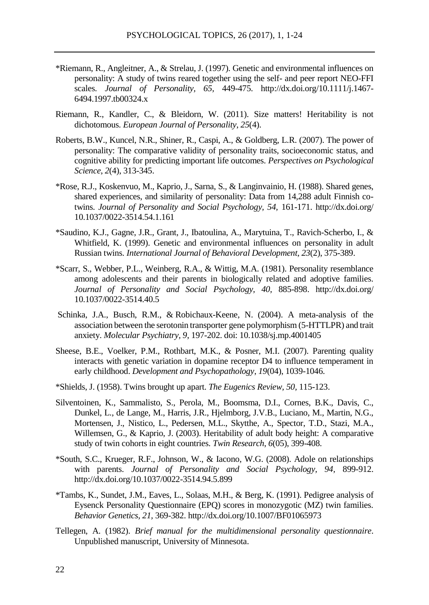- \*Riemann, R., Angleitner, A., & Strelau, J. (1997). Genetic and environmental influences on personality: A study of twins reared together using the self- and peer report NEO-FFI scales. *Journal of Personality, 65,* 449-475. http://dx.doi.org/10.1111/j.1467- 6494.1997.tb00324.x
- Riemann, R., Kandler, C., & Bleidorn, W. (2011). Size matters! Heritability is not dichotomous. *European Journal of Personality*, *25*(4).
- Roberts, B.W., Kuncel, N.R., Shiner, R., Caspi, A., & Goldberg, L.R. (2007). The power of personality: The comparative validity of personality traits, socioeconomic status, and cognitive ability for predicting important life outcomes. *Perspectives on Psychological Science*, *2*(4), 313-345.
- \*Rose, R.J., Koskenvuo, M., Kaprio, J., Sarna, S., & Langinvainio, H. (1988). Shared genes, shared experiences, and similarity of personality: Data from 14,288 adult Finnish cotwins. *Journal of Personality and Social Psychology, 54,* 161-171. http://dx.doi.org/ 10.1037/0022-3514.54.1.161
- \*Saudino, K.J., Gagne, J.R., Grant, J., Ibatoulina, A., Marytuina, T., Ravich-Scherbo, I., & Whitfield, K. (1999). Genetic and environmental influences on personality in adult Russian twins. *International Journal of Behavioral Development*, *23*(2), 375-389.
- \*Scarr, S., Webber, P.L., Weinberg, R.A., & Wittig, M.A. (1981). Personality resemblance among adolescents and their parents in biologically related and adoptive families. *Journal of Personality and Social Psychology, 40,* 885-898. http://dx.doi.org/ 10.1037/0022-3514.40.5
- Schinka, J.A., Busch, R.M., & Robichaux-Keene, N. (2004). A meta-analysis of the association between the serotonin transporter gene polymorphism (5-HTTLPR) and trait anxiety. *Molecular Psychiatry, 9*, 197-202. doi: 10.1038/sj.mp.4001405
- Sheese, B.E., Voelker, P.M., Rothbart, M.K., & Posner, M.I. (2007). Parenting quality interacts with genetic variation in dopamine receptor D4 to influence temperament in early childhood. *Development and Psychopathology*, *19*(04), 1039-1046.
- \*Shields, J. (1958). Twins brought up apart. *The Eugenics Review, 50,* 115-123.
- Silventoinen, K., Sammalisto, S., Perola, M., Boomsma, D.I., Cornes, B.K., Davis, C., Dunkel, L., de Lange, M., Harris, J.R., Hjelmborg, J.V.B., Luciano, M., Martin, N.G., Mortensen, J., Nistico, L., Pedersen, M.L., Skytthe, A., Spector, T.D., Stazi, M.A., Willemsen, G., & Kaprio, J. (2003). Heritability of adult body height: A comparative study of twin cohorts in eight countries. *Twin Research*, *6*(05), 399-408.
- \*South, S.C., Krueger, R.F., Johnson, W., & Iacono, W.G. (2008). Adole on relationships with parents. *Journal of Personality and Social Psychology, 94,* 899-912. http://dx.doi.org/10.1037/0022-3514.94.5.899
- \*Tambs, K., Sundet, J.M., Eaves, L., Solaas, M.H., & Berg, K. (1991). Pedigree analysis of Eysenck Personality Questionnaire (EPQ) scores in monozygotic (MZ) twin families. *Behavior Genetics, 21,* 369-382. http://dx.doi.org/10.1007/BF01065973
- Tellegen, A. (1982). *Brief manual for the multidimensional personality questionnaire*. Unpublished manuscript, University of Minnesota.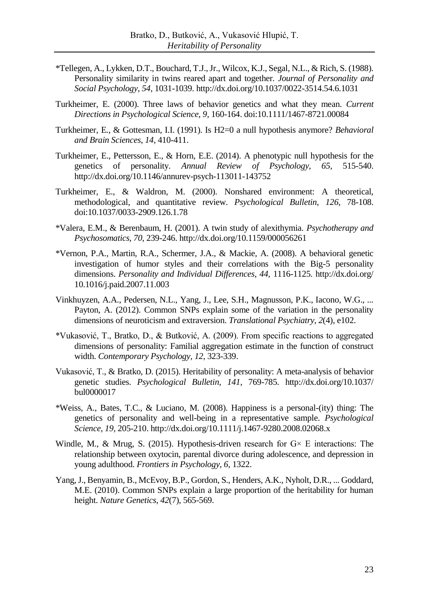- \*Tellegen, A., Lykken, D.T., Bouchard, T.J., Jr., Wilcox, K.J., Segal, N.L., & Rich, S. (1988). Personality similarity in twins reared apart and together. *Journal of Personality and Social Psychology, 54,* 1031-1039. http://dx.doi.org/10.1037/0022-3514.54.6.1031
- Turkheimer, E. (2000). Three laws of behavior genetics and what they mean. *Current Directions in Psychological Science*, *9*, 160-164. doi:10.1111/1467-8721.00084
- Turkheimer, E., & Gottesman, I.I. (1991). Is H2=0 a null hypothesis anymore? *Behavioral and Brain Sciences*, *14*, 410-411.
- Turkheimer, E., Pettersson, E., & Horn, E.E. (2014). A phenotypic null hypothesis for the genetics of personality. *Annual Review of Psychology, 65,* 515-540. http://dx.doi.org/10.1146/annurev-psych-113011-143752
- Turkheimer, E., & Waldron, M. (2000). Nonshared environment: A theoretical, methodological, and quantitative review. *Psychological Bulletin*, *126*, 78-108. doi:10.1037/0033-2909.126.1.78
- \*Valera, E.M., & Berenbaum, H. (2001). A twin study of alexithymia. *Psychotherapy and Psychosomatics, 70,* 239-246. http://dx.doi.org/10.1159/000056261
- \*Vernon, P.A., Martin, R.A., Schermer, J.A., & Mackie, A. (2008). A behavioral genetic investigation of humor styles and their correlations with the Big-5 personality dimensions. *Personality and Individual Differences, 44,* 1116-1125. http://dx.doi.org/ 10.1016/j.paid.2007.11.003
- Vinkhuyzen, A.A., Pedersen, N.L., Yang, J., Lee, S.H., Magnusson, P.K., Iacono, W.G., ... Payton, A. (2012). Common SNPs explain some of the variation in the personality dimensions of neuroticism and extraversion. *Translational Psychiatry*, *2*(4), e102.
- \*Vukasović, T., Bratko, D., & Butković, A. (2009). From specific reactions to aggregated dimensions of personality: Familial aggregation estimate in the function of construct width. *Contemporary Psychology, 12,* 323-339.
- Vukasović, T., & Bratko, D. (2015). Heritability of personality: A meta-analysis of behavior genetic studies. *Psychological Bulletin, 141,* 769-785. http://dx.doi.org/10.1037/ bul0000017
- \*Weiss, A., Bates, T.C., & Luciano, M. (2008). Happiness is a personal-(ity) thing: The genetics of personality and well-being in a representative sample. *Psychological Science, 19,* 205-210. http://dx.doi.org/10.1111/j.1467-9280.2008.02068.x
- Windle, M., & Mrug, S. (2015). Hypothesis-driven research for  $G \times E$  interactions: The relationship between oxytocin, parental divorce during adolescence, and depression in young adulthood. *Frontiers in Psychology*, *6*, 1322.
- Yang, J., Benyamin, B., McEvoy, B.P., Gordon, S., Henders, A.K., Nyholt, D.R., ... Goddard, M.E. (2010). Common SNPs explain a large proportion of the heritability for human height. *Nature Genetics*, *42*(7), 565-569.